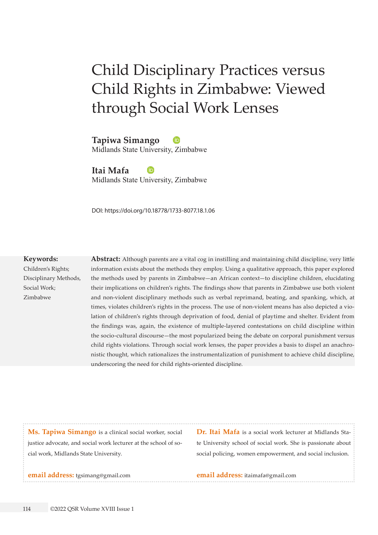# Child Disciplinary Practices versus Child Rights in Zimbabwe: Viewed through Social Work Lenses

**Tapiwa Simango** Midlands State University, Zimbabwe

**Itai Mafa** Midlands State University, Zimbabwe

DOI: https://doi.org/10.18778/1733-8077.18.1.06

#### **Keywords:**

Children's Rights; Disciplinary Methods, Social Work; Zimbabwe

**Abstract:** Although parents are a vital cog in instilling and maintaining child discipline, very little information exists about the methods they employ. Using a qualitative approach, this paper explored the methods used by parents in Zimbabwe—an African context—to discipline children, elucidating their implications on children's rights. The findings show that parents in Zimbabwe use both violent and non-violent disciplinary methods such as verbal reprimand, beating, and spanking, which, at times, violates children's rights in the process. The use of non-violent means has also depicted a violation of children's rights through deprivation of food, denial of playtime and shelter. Evident from the findings was, again, the existence of multiple-layered contestations on child discipline within the socio-cultural discourse—the most popularized being the debate on corporal punishment versus child rights violations. Through social work lenses, the paper provides a basis to dispel an anachronistic thought, which rationalizes the instrumentalization of punishment to achieve child discipline, underscoring the need for child rights-oriented discipline.

**Ms. Tapiwa Simango** is a clinical social worker, social justice advocate, and social work lecturer at the school of social work, Midlands State University.

**Dr. Itai Mafa** is a social work lecturer at Midlands State University school of social work. She is passionate about social policing, women empowerment, and social inclusion.

**email address:** [tgsimang@gmail.com](mailto:tgsimang%40gmail.com?subject=)

**email address:** [itaimafa@gmail.com](mailto:itaimafa%40gmail.com?subject=)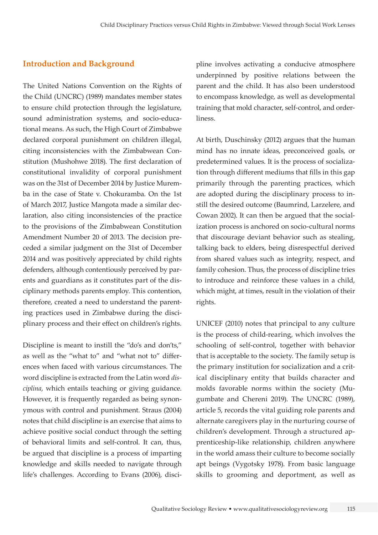# **Introduction and Background**

The United Nations Convention on the Rights of the Child (UNCRC) (1989) mandates member states to ensure child protection through the legislature, sound administration systems, and socio-educational means. As such, the High Court of Zimbabwe declared corporal punishment on children illegal, citing inconsistencies with the Zimbabwean Constitution (Mushohwe 2018). The first declaration of constitutional invalidity of corporal punishment was on the 31st of December 2014 by Justice Muremba in the case of State v. Chokuramba. On the 1st of March 2017, Justice Mangota made a similar declaration, also citing inconsistencies of the practice to the provisions of the Zimbabwean Constitution Amendment Number 20 of 2013. The decision preceded a similar judgment on the 31st of December 2014 and was positively appreciated by child rights defenders, although contentiously perceived by parents and guardians as it constitutes part of the disciplinary methods parents employ. This contention, therefore, created a need to understand the parenting practices used in Zimbabwe during the disciplinary process and their effect on children's rights.

Discipline is meant to instill the "do's and don'ts," as well as the "what to" and "what not to" differences when faced with various circumstances. The word discipline is extracted from the Latin word *disciplina*, which entails teaching or giving guidance. However, it is frequently regarded as being synonymous with control and punishment. Straus (2004) notes that child discipline is an exercise that aims to achieve positive social conduct through the setting of behavioral limits and self-control. It can, thus, be argued that discipline is a process of imparting knowledge and skills needed to navigate through life's challenges. According to Evans (2006), disci-

pline involves activating a conducive atmosphere underpinned by positive relations between the parent and the child. It has also been understood to encompass knowledge, as well as developmental training that mold character, self-control, and orderliness.

At birth, Duschinsky (2012) argues that the human mind has no innate ideas, preconceived goals, or predetermined values. It is the process of socialization through different mediums that fills in this gap primarily through the parenting practices, which are adopted during the disciplinary process to instill the desired outcome (Baumrind, Larzelere, and Cowan 2002). It can then be argued that the socialization process is anchored on socio-cultural norms that discourage deviant behavior such as stealing, talking back to elders, being disrespectful derived from shared values such as integrity, respect, and family cohesion. Thus, the process of discipline tries to introduce and reinforce these values in a child, which might, at times, result in the violation of their rights.

UNICEF (2010) notes that principal to any culture is the process of child-rearing, which involves the schooling of self-control, together with behavior that is acceptable to the society. The family setup is the primary institution for socialization and a critical disciplinary entity that builds character and molds favorable norms within the society (Mugumbate and Chereni 2019). The UNCRC (1989), article 5, records the vital guiding role parents and alternate caregivers play in the nurturing course of children's development. Through a structured apprenticeship-like relationship, children anywhere in the world amass their culture to become socially apt beings (Vygotsky 1978). From basic language skills to grooming and deportment, as well as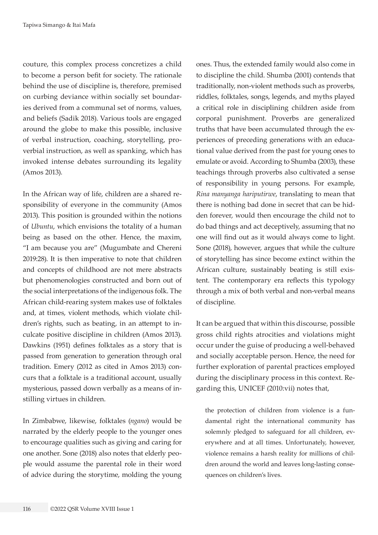couture, this complex process concretizes a child to become a person befit for society. The rationale behind the use of discipline is, therefore, premised on curbing deviance within socially set boundaries derived from a communal set of norms, values, and beliefs (Sadik 2018). Various tools are engaged around the globe to make this possible, inclusive of verbal instruction, coaching, storytelling, proverbial instruction, as well as spanking, which has invoked intense debates surrounding its legality (Amos 2013).

In the African way of life, children are a shared responsibility of everyone in the community (Amos 2013). This position is grounded within the notions of *Ubuntu*, which envisions the totality of a human being as based on the other. Hence, the maxim, "I am because you are" (Mugumbate and Chereni 2019:28). It is then imperative to note that children and concepts of childhood are not mere abstracts but phenomenologies constructed and born out of the social interpretations of the indigenous folk. The African child-rearing system makes use of folktales and, at times, violent methods, which violate children's rights, such as beating, in an attempt to inculcate positive discipline in children (Amos 2013). Dawkins (1951) defines folktales as a story that is passed from generation to generation through oral tradition. Emery (2012 as cited in Amos 2013) concurs that a folktale is a traditional account, usually mysterious, passed down verbally as a means of instilling virtues in children.

In Zimbabwe, likewise, folktales (*ngano*) would be narrated by the elderly people to the younger ones to encourage qualities such as giving and caring for one another. Sone (2018) also notes that elderly people would assume the parental role in their word of advice during the storytime, molding the young ones. Thus, the extended family would also come in to discipline the child. Shumba (2001) contends that traditionally, non-violent methods such as proverbs, riddles, folktales, songs, legends, and myths played a critical role in disciplining children aside from corporal punishment. Proverbs are generalized truths that have been accumulated through the experiences of preceding generations with an educational value derived from the past for young ones to emulate or avoid. According to Shumba (2003), these teachings through proverbs also cultivated a sense of responsibility in young persons. For example, *Rina manyanga hariputirwe*, translating to mean that there is nothing bad done in secret that can be hidden forever, would then encourage the child not to do bad things and act deceptively, assuming that no one will find out as it would always come to light. Sone (2018), however, argues that while the culture of storytelling has since become extinct within the African culture, sustainably beating is still existent. The contemporary era reflects this typology through a mix of both verbal and non-verbal means of discipline.

It can be argued that within this discourse, possible gross child rights atrocities and violations might occur under the guise of producing a well-behaved and socially acceptable person. Hence, the need for further exploration of parental practices employed during the disciplinary process in this context. Regarding this, UNICEF (2010:vii) notes that,

the protection of children from violence is a fundamental right the international community has solemnly pledged to safeguard for all children, everywhere and at all times. Unfortunately, however, violence remains a harsh reality for millions of children around the world and leaves long-lasting consequences on children's lives.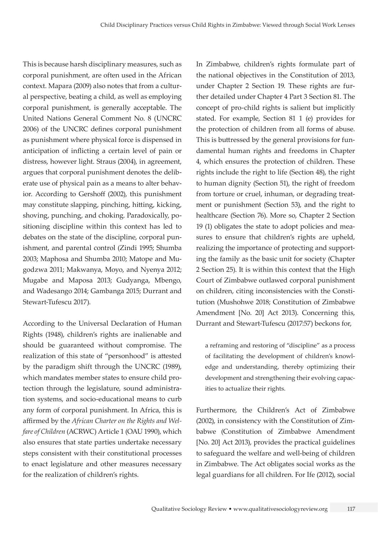This is because harsh disciplinary measures, such as corporal punishment, are often used in the African context. Mapara (2009) also notes that from a cultural perspective, beating a child, as well as employing corporal punishment, is generally acceptable. The United Nations General Comment No. 8 (UNCRC 2006) of the UNCRC defines corporal punishment as punishment where physical force is dispensed in anticipation of inflicting a certain level of pain or distress, however light. Straus (2004), in agreement, argues that corporal punishment denotes the deliberate use of physical pain as a means to alter behavior. According to Gershoff (2002), this punishment may constitute slapping, pinching, hitting, kicking, shoving, punching, and choking. Paradoxically, positioning discipline within this context has led to debates on the state of the discipline, corporal punishment, and parental control (Zindi 1995; Shumba 2003; Maphosa and Shumba 2010; Matope and Mugodzwa 2011; Makwanya, Moyo, and Nyenya 2012; Mugabe and Maposa 2013; Gudyanga, Mbengo, and Wadesango 2014; Gambanga 2015; Durrant and Stewart-Tufescu 2017).

According to the Universal Declaration of Human Rights (1948), children's rights are inalienable and should be guaranteed without compromise. The realization of this state of "personhood" is attested by the paradigm shift through the UNCRC (1989), which mandates member states to ensure child protection through the legislature, sound administration systems, and socio-educational means to curb any form of corporal punishment. In Africa, this is affirmed by the *African Charter on the Rights and Welfare of Children* (ACRWC) Article 1 (OAU 1990), which also ensures that state parties undertake necessary steps consistent with their constitutional processes to enact legislature and other measures necessary for the realization of children's rights.

In Zimbabwe, children's rights formulate part of the national objectives in the Constitution of 2013, under Chapter 2 Section 19. These rights are further detailed under Chapter 4 Part 3 Section 81. The concept of pro-child rights is salient but implicitly stated. For example, Section 81 1 (e) provides for the protection of children from all forms of abuse. This is buttressed by the general provisions for fundamental human rights and freedoms in Chapter 4, which ensures the protection of children. These rights include the right to life (Section 48), the right to human dignity (Section 51), the right of freedom from torture or cruel, inhuman, or degrading treatment or punishment (Section 53), and the right to healthcare (Section 76). More so, Chapter 2 Section 19 (1) obligates the state to adopt policies and measures to ensure that children's rights are upheld, realizing the importance of protecting and supporting the family as the basic unit for society (Chapter 2 Section 25). It is within this context that the High Court of Zimbabwe outlawed corporal punishment on children, citing inconsistencies with the Constitution (Mushohwe 2018; Constitution of Zimbabwe Amendment [No. 20] Act 2013). Concerning this, Durrant and Stewart-Tufescu (2017:57) beckons for,

a reframing and restoring of "discipline" as a process of facilitating the development of children's knowledge and understanding, thereby optimizing their development and strengthening their evolving capacities to actualize their rights.

Furthermore, the Children's Act of Zimbabwe (2002), in consistency with the Constitution of Zimbabwe (Constitution of Zimbabwe Amendment [No. 20] Act 2013), provides the practical guidelines to safeguard the welfare and well-being of children in Zimbabwe. The Act obligates social works as the legal guardians for all children. For Ife (2012), social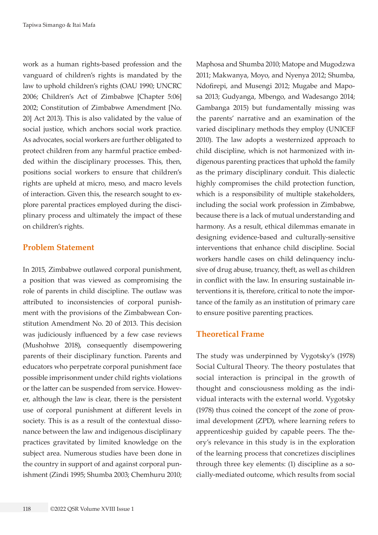work as a human rights-based profession and the vanguard of children's rights is mandated by the law to uphold children's rights (OAU 1990; UNCRC 2006; Children's Act of Zimbabwe [Chapter 5:06] 2002; Constitution of Zimbabwe Amendment [No. 20] Act 2013). This is also validated by the value of social justice, which anchors social work practice. As advocates, social workers are further obligated to protect children from any harmful practice embedded within the disciplinary processes. This, then, positions social workers to ensure that children's rights are upheld at micro, meso, and macro levels of interaction. Given this, the research sought to explore parental practices employed during the disciplinary process and ultimately the impact of these on children's rights.

# **Problem Statement**

In 2015, Zimbabwe outlawed corporal punishment, a position that was viewed as compromising the role of parents in child discipline. The outlaw was attributed to inconsistencies of corporal punishment with the provisions of the Zimbabwean Constitution Amendment No. 20 of 2013. This decision was judiciously influenced by a few case reviews (Mushohwe 2018), consequently disempowering parents of their disciplinary function. Parents and educators who perpetrate corporal punishment face possible imprisonment under child rights violations or the latter can be suspended from service. However, although the law is clear, there is the persistent use of corporal punishment at different levels in society. This is as a result of the contextual dissonance between the law and indigenous disciplinary practices gravitated by limited knowledge on the subject area. Numerous studies have been done in the country in support of and against corporal punishment (Zindi 1995; Shumba 2003; Chemhuru 2010;

Maphosa and Shumba 2010; Matope and Mugodzwa 2011; Makwanya, Moyo, and Nyenya 2012; Shumba, Ndofirepi, and Musengi 2012; Mugabe and Maposa 2013; Gudyanga, Mbengo, and Wadesango 2014; Gambanga 2015) but fundamentally missing was the parents' narrative and an examination of the varied disciplinary methods they employ (UNICEF 2010). The law adopts a westernized approach to child discipline, which is not harmonized with indigenous parenting practices that uphold the family as the primary disciplinary conduit. This dialectic highly compromises the child protection function, which is a responsibility of multiple stakeholders, including the social work profession in Zimbabwe, because there is a lack of mutual understanding and harmony. As a result, ethical dilemmas emanate in designing evidence-based and culturally-sensitive interventions that enhance child discipline. Social workers handle cases on child delinquency inclusive of drug abuse, truancy, theft, as well as children in conflict with the law. In ensuring sustainable interventions it is, therefore, critical to note the importance of the family as an institution of primary care to ensure positive parenting practices.

# **Theoretical Frame**

The study was underpinned by Vygotsky's (1978) Social Cultural Theory. The theory postulates that social interaction is principal in the growth of thought and consciousness molding as the individual interacts with the external world. Vygotsky (1978) thus coined the concept of the zone of proximal development (ZPD), where learning refers to apprenticeship guided by capable peers. The theory's relevance in this study is in the exploration of the learning process that concretizes disciplines through three key elements: (1) discipline as a socially-mediated outcome, which results from social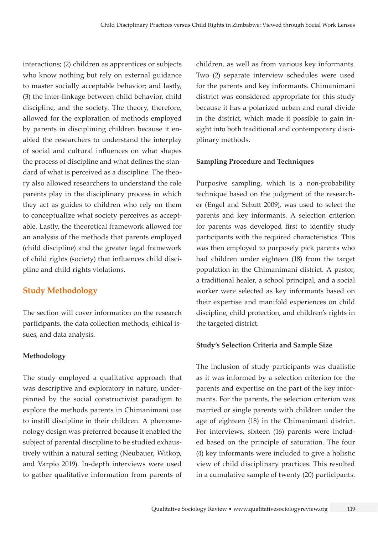interactions; (2) children as apprentices or subjects who know nothing but rely on external guidance to master socially acceptable behavior; and lastly, (3) the inter-linkage between child behavior, child discipline, and the society. The theory, therefore, allowed for the exploration of methods employed by parents in disciplining children because it enabled the researchers to understand the interplay of social and cultural influences on what shapes the process of discipline and what defines the standard of what is perceived as a discipline. The theory also allowed researchers to understand the role parents play in the disciplinary process in which they act as guides to children who rely on them to conceptualize what society perceives as acceptable. Lastly, the theoretical framework allowed for an analysis of the methods that parents employed (child discipline) and the greater legal framework of child rights (society) that influences child discipline and child rights violations.

# **Study Methodology**

The section will cover information on the research participants, the data collection methods, ethical issues, and data analysis.

# **Methodology**

The study employed a qualitative approach that was descriptive and exploratory in nature, underpinned by the social constructivist paradigm to explore the methods parents in Chimanimani use to instill discipline in their children. A phenomenology design was preferred because it enabled the subject of parental discipline to be studied exhaustively within a natural setting (Neubauer, Witkop, and Varpio 2019). In-depth interviews were used to gather qualitative information from parents of children, as well as from various key informants. Two (2) separate interview schedules were used for the parents and key informants. Chimanimani district was considered appropriate for this study because it has a polarized urban and rural divide in the district, which made it possible to gain insight into both traditional and contemporary disciplinary methods.

### **Sampling Procedure and Techniques**

Purposive sampling, which is a non-probability technique based on the judgment of the researcher (Engel and Schutt 2009), was used to select the parents and key informants. A selection criterion for parents was developed first to identify study participants with the required characteristics. This was then employed to purposely pick parents who had children under eighteen (18) from the target population in the Chimanimani district. A pastor, a traditional healer, a school principal, and a social worker were selected as key informants based on their expertise and manifold experiences on child discipline, child protection, and children's rights in the targeted district.

# **Study's Selection Criteria and Sample Size**

The inclusion of study participants was dualistic as it was informed by a selection criterion for the parents and expertise on the part of the key informants. For the parents, the selection criterion was married or single parents with children under the age of eighteen (18) in the Chimanimani district. For interviews, sixteen (16) parents were included based on the principle of saturation. The four (4) key informants were included to give a holistic view of child disciplinary practices. This resulted in a cumulative sample of twenty (20) participants.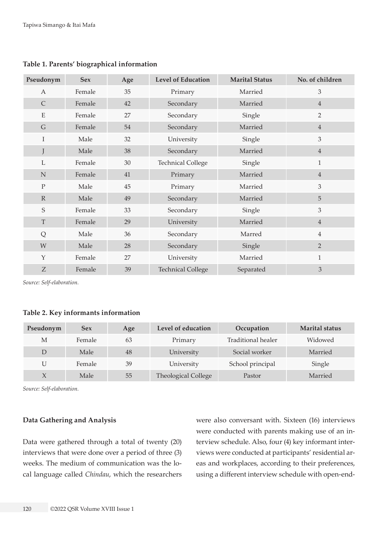| Pseudonym    | <b>Sex</b> | Age | <b>Level of Education</b> | <b>Marital Status</b> | No. of children |
|--------------|------------|-----|---------------------------|-----------------------|-----------------|
| $\mathbf{A}$ | Female     | 35  | Primary                   | Married               | 3               |
| $\mathsf{C}$ | Female     | 42  | Secondary                 | Married               | $\overline{4}$  |
| ${\bf E}$    | Female     | 27  | Secondary                 | Single                | $\overline{2}$  |
| $\mathsf{G}$ | Female     | 54  | Secondary                 | Married               | $\overline{4}$  |
| I            | Male       | 32  | University                | Single                | $\overline{3}$  |
| J            | Male       | 38  | Secondary                 | Married               | $\overline{4}$  |
| $\mathbf L$  | Female     | 30  | <b>Technical College</b>  | Single                | $\mathbf{1}$    |
| $\mathbf N$  | Female     | 41  | Primary                   | Married               | $\overline{4}$  |
| $\rm P$      | Male       | 45  | Primary                   | Married               | $\overline{3}$  |
| $\mathbb{R}$ | Male       | 49  | Secondary                 | Married               | 5               |
| $\mathbf S$  | Female     | 33  | Secondary                 | Single                | 3               |
| $\mathbf T$  | Female     | 29  | University                | Married               | $\overline{4}$  |
| Q            | Male       | 36  | Secondary                 | Marred                | $\overline{4}$  |
| W            | Male       | 28  | Secondary                 | Single                | $\overline{2}$  |
| Y            | Female     | 27  | University                | Married               | $\mathbf{1}$    |
| Z            | Female     | 39  | <b>Technical College</b>  | Separated             | 3               |

**Table 1. Parents' biographical information**

*Source: Self-elaboration.*

#### **Table 2. Key informants information**

| Pseudonym    | <b>Sex</b> | Age | Level of education         | Occupation         | <b>Marital status</b> |
|--------------|------------|-----|----------------------------|--------------------|-----------------------|
| М            | Female     | 63  | Primary                    | Traditional healer | Widowed               |
| D            | Male       | 48  | University                 | Social worker      | Married               |
| U            | Female     | 39  | University                 | School principal   | Single                |
| $\mathsf{X}$ | Male       | 55  | <b>Theological College</b> | Pastor             | Married               |

*Source: Self-elaboration.*

#### **Data Gathering and Analysis**

Data were gathered through a total of twenty (20) interviews that were done over a period of three (3) weeks. The medium of communication was the local language called *Chindau*, which the researchers were also conversant with. Sixteen (16) interviews were conducted with parents making use of an interview schedule. Also, four (4) key informant interviews were conducted at participants' residential areas and workplaces, according to their preferences, using a different interview schedule with open-end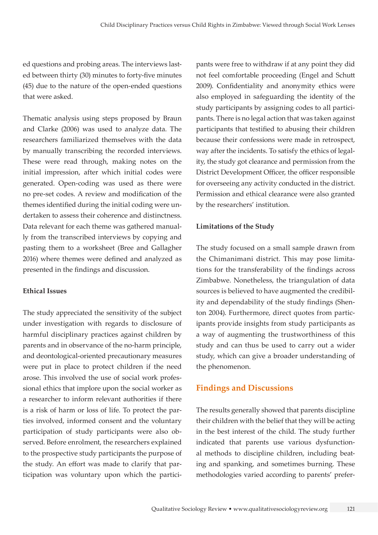ed questions and probing areas. The interviews lasted between thirty (30) minutes to forty-five minutes (45) due to the nature of the open-ended questions that were asked.

Thematic analysis using steps proposed by Braun and Clarke (2006) was used to analyze data. The researchers familiarized themselves with the data by manually transcribing the recorded interviews. These were read through, making notes on the initial impression, after which initial codes were generated. Open-coding was used as there were no pre-set codes. A review and modification of the themes identified during the initial coding were undertaken to assess their coherence and distinctness. Data relevant for each theme was gathered manually from the transcribed interviews by copying and pasting them to a worksheet (Bree and Gallagher 2016) where themes were defined and analyzed as presented in the findings and discussion.

#### **Ethical Issues**

The study appreciated the sensitivity of the subject under investigation with regards to disclosure of harmful disciplinary practices against children by parents and in observance of the no-harm principle, and deontological-oriented precautionary measures were put in place to protect children if the need arose. This involved the use of social work professional ethics that implore upon the social worker as a researcher to inform relevant authorities if there is a risk of harm or loss of life. To protect the parties involved, informed consent and the voluntary participation of study participants were also observed. Before enrolment, the researchers explained to the prospective study participants the purpose of the study. An effort was made to clarify that participation was voluntary upon which the participants were free to withdraw if at any point they did not feel comfortable proceeding (Engel and Schutt 2009). Confidentiality and anonymity ethics were also employed in safeguarding the identity of the study participants by assigning codes to all participants. There is no legal action that was taken against participants that testified to abusing their children because their confessions were made in retrospect, way after the incidents. To satisfy the ethics of legality, the study got clearance and permission from the District Development Officer, the officer responsible for overseeing any activity conducted in the district. Permission and ethical clearance were also granted by the researchers' institution.

#### **Limitations of the Study**

The study focused on a small sample drawn from the Chimanimani district. This may pose limitations for the transferability of the findings across Zimbabwe. Nonetheless, the triangulation of data sources is believed to have augmented the credibility and dependability of the study findings (Shenton 2004). Furthermore, direct quotes from participants provide insights from study participants as a way of augmenting the trustworthiness of this study and can thus be used to carry out a wider study, which can give a broader understanding of the phenomenon.

# **Findings and Discussions**

The results generally showed that parents discipline their children with the belief that they will be acting in the best interest of the child. The study further indicated that parents use various dysfunctional methods to discipline children, including beating and spanking, and sometimes burning. These methodologies varied according to parents' prefer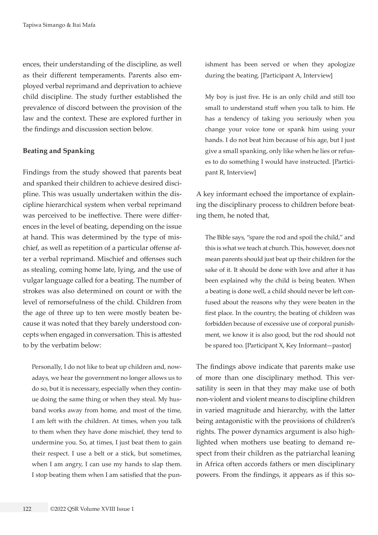ences, their understanding of the discipline, as well as their different temperaments. Parents also employed verbal reprimand and deprivation to achieve child discipline. The study further established the prevalence of discord between the provision of the law and the context. These are explored further in the findings and discussion section below.

#### **Beating and Spanking**

Findings from the study showed that parents beat and spanked their children to achieve desired discipline. This was usually undertaken within the discipline hierarchical system when verbal reprimand was perceived to be ineffective. There were differences in the level of beating, depending on the issue at hand. This was determined by the type of mischief, as well as repetition of a particular offense after a verbal reprimand. Mischief and offenses such as stealing, coming home late, lying, and the use of vulgar language called for a beating. The number of strokes was also determined on count or with the level of remorsefulness of the child. Children from the age of three up to ten were mostly beaten because it was noted that they barely understood concepts when engaged in conversation. This is attested to by the verbatim below:

Personally, I do not like to beat up children and, nowadays, we hear the government no longer allows us to do so, but it is necessary, especially when they continue doing the same thing or when they steal. My husband works away from home, and most of the time, I am left with the children. At times, when you talk to them when they have done mischief, they tend to undermine you. So, at times, I just beat them to gain their respect. I use a belt or a stick, but sometimes, when I am angry, I can use my hands to slap them. I stop beating them when I am satisfied that the punishment has been served or when they apologize during the beating. [Participant A, Interview]

My boy is just five. He is an only child and still too small to understand stuff when you talk to him. He has a tendency of taking you seriously when you change your voice tone or spank him using your hands. I do not beat him because of his age, but I just give a small spanking, only like when he lies or refuses to do something I would have instructed. [Participant R, Interview]

A key informant echoed the importance of explaining the disciplinary process to children before beating them, he noted that,

The Bible says, "spare the rod and spoil the child," and this is what we teach at church. This, however, does not mean parents should just beat up their children for the sake of it. It should be done with love and after it has been explained why the child is being beaten. When a beating is done well, a child should never be left confused about the reasons why they were beaten in the first place. In the country, the beating of children was forbidden because of excessive use of corporal punishment, we know it is also good, but the rod should not be spared too. [Participant X, Key Informant—pastor]

The findings above indicate that parents make use of more than one disciplinary method. This versatility is seen in that they may make use of both non-violent and violent means to discipline children in varied magnitude and hierarchy, with the latter being antagonistic with the provisions of children's rights. The power dynamics argument is also highlighted when mothers use beating to demand respect from their children as the patriarchal leaning in Africa often accords fathers or men disciplinary powers. From the findings, it appears as if this so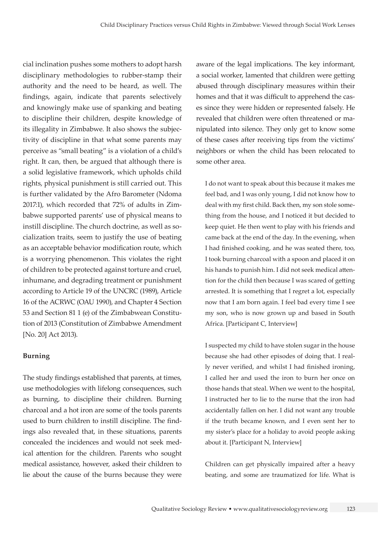cial inclination pushes some mothers to adopt harsh disciplinary methodologies to rubber-stamp their authority and the need to be heard, as well. The findings, again, indicate that parents selectively and knowingly make use of spanking and beating to discipline their children, despite knowledge of its illegality in Zimbabwe. It also shows the subjectivity of discipline in that what some parents may perceive as "small beating" is a violation of a child's right. It can, then, be argued that although there is a solid legislative framework, which upholds child rights, physical punishment is still carried out. This is further validated by the Afro Barometer (Ndoma 2017:1), which recorded that 72% of adults in Zimbabwe supported parents' use of physical means to instill discipline. The church doctrine, as well as socialization traits, seem to justify the use of beating as an acceptable behavior modification route, which is a worrying phenomenon. This violates the right of children to be protected against torture and cruel, inhumane, and degrading treatment or punishment according to Article 19 of the UNCRC (1989), Article 16 of the ACRWC (OAU 1990), and Chapter 4 Section 53 and Section 81 1 (e) of the Zimbabwean Constitution of 2013 (Constitution of Zimbabwe Amendment [No. 20] Act 2013).

#### **Burning**

The study findings established that parents, at times, use methodologies with lifelong consequences, such as burning, to discipline their children. Burning charcoal and a hot iron are some of the tools parents used to burn children to instill discipline. The findings also revealed that, in these situations, parents concealed the incidences and would not seek medical attention for the children. Parents who sought medical assistance, however, asked their children to lie about the cause of the burns because they were

aware of the legal implications. The key informant, a social worker, lamented that children were getting abused through disciplinary measures within their homes and that it was difficult to apprehend the cases since they were hidden or represented falsely. He revealed that children were often threatened or manipulated into silence. They only get to know some of these cases after receiving tips from the victims' neighbors or when the child has been relocated to some other area.

I do not want to speak about this because it makes me feel bad, and I was only young, I did not know how to deal with my first child. Back then, my son stole something from the house, and I noticed it but decided to keep quiet. He then went to play with his friends and came back at the end of the day. In the evening, when I had finished cooking, and he was seated there, too, I took burning charcoal with a spoon and placed it on his hands to punish him. I did not seek medical attention for the child then because I was scared of getting arrested. It is something that I regret a lot, especially now that I am born again. I feel bad every time I see my son, who is now grown up and based in South Africa. [Participant C, Interview]

I suspected my child to have stolen sugar in the house because she had other episodes of doing that. I really never verified, and whilst I had finished ironing, I called her and used the iron to burn her once on those hands that steal. When we went to the hospital, I instructed her to lie to the nurse that the iron had accidentally fallen on her. I did not want any trouble if the truth became known, and I even sent her to my sister's place for a holiday to avoid people asking about it. [Participant N, Interview]

Children can get physically impaired after a heavy beating, and some are traumatized for life. What is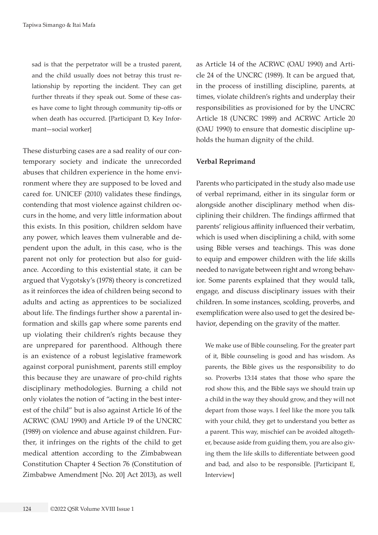sad is that the perpetrator will be a trusted parent, and the child usually does not betray this trust relationship by reporting the incident. They can get further threats if they speak out. Some of these cases have come to light through community tip-offs or when death has occurred. [Participant D, Key Informant—social worker]

These disturbing cases are a sad reality of our contemporary society and indicate the unrecorded abuses that children experience in the home environment where they are supposed to be loved and cared for. UNICEF (2010) validates these findings, contending that most violence against children occurs in the home, and very little information about this exists. In this position, children seldom have any power, which leaves them vulnerable and dependent upon the adult, in this case, who is the parent not only for protection but also for guidance. According to this existential state, it can be argued that Vygotsky's (1978) theory is concretized as it reinforces the idea of children being second to adults and acting as apprentices to be socialized about life. The findings further show a parental information and skills gap where some parents end up violating their children's rights because they are unprepared for parenthood. Although there is an existence of a robust legislative framework against corporal punishment, parents still employ this because they are unaware of pro-child rights disciplinary methodologies. Burning a child not only violates the notion of "acting in the best interest of the child" but is also against Article 16 of the ACRWC (OAU 1990) and Article 19 of the UNCRC (1989) on violence and abuse against children. Further, it infringes on the rights of the child to get medical attention according to the Zimbabwean Constitution Chapter 4 Section 76 (Constitution of Zimbabwe Amendment [No. 20] Act 2013), as well

as Article 14 of the ACRWC (OAU 1990) and Article 24 of the UNCRC (1989). It can be argued that, in the process of instilling discipline, parents, at times, violate children's rights and underplay their responsibilities as provisioned for by the UNCRC Article 18 (UNCRC 1989) and ACRWC Article 20 (OAU 1990) to ensure that domestic discipline upholds the human dignity of the child.

#### **Verbal Reprimand**

Parents who participated in the study also made use of verbal reprimand, either in its singular form or alongside another disciplinary method when disciplining their children. The findings affirmed that parents' religious affinity influenced their verbatim, which is used when disciplining a child, with some using Bible verses and teachings. This was done to equip and empower children with the life skills needed to navigate between right and wrong behavior. Some parents explained that they would talk, engage, and discuss disciplinary issues with their children. In some instances, scolding, proverbs, and exemplification were also used to get the desired behavior, depending on the gravity of the matter.

We make use of Bible counseling. For the greater part of it, Bible counseling is good and has wisdom. As parents, the Bible gives us the responsibility to do so. Proverbs 13:14 states that those who spare the rod show this, and the Bible says we should train up a child in the way they should grow, and they will not depart from those ways. I feel like the more you talk with your child, they get to understand you better as a parent. This way, mischief can be avoided altogether, because aside from guiding them, you are also giving them the life skills to differentiate between good and bad, and also to be responsible. [Participant E, Interview]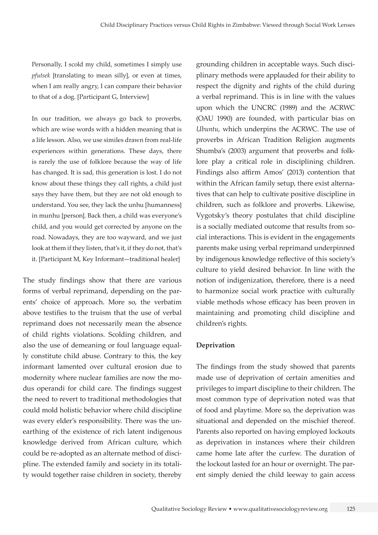Personally, I scold my child, sometimes I simply use *pfutsek* [translating to mean silly], or even at times, when I am really angry, I can compare their behavior to that of a dog. [Participant G, Interview]

In our tradition, we always go back to proverbs, which are wise words with a hidden meaning that is a life lesson. Also, we use similes drawn from real-life experiences within generations. These days, there is rarely the use of folklore because the way of life has changed. It is sad, this generation is lost. I do not know about these things they call rights, a child just says they have them, but they are not old enough to understand. You see, they lack the unhu [humanness] in munhu [person]. Back then, a child was everyone's child, and you would get corrected by anyone on the road. Nowadays, they are too wayward, and we just look at them if they listen, that's it, if they do not, that's it. [Participant M, Key Informant—traditional healer]

The study findings show that there are various forms of verbal reprimand, depending on the parents' choice of approach. More so, the verbatim above testifies to the truism that the use of verbal reprimand does not necessarily mean the absence of child rights violations. Scolding children, and also the use of demeaning or foul language equally constitute child abuse. Contrary to this, the key informant lamented over cultural erosion due to modernity where nuclear families are now the modus operandi for child care. The findings suggest the need to revert to traditional methodologies that could mold holistic behavior where child discipline was every elder's responsibility. There was the unearthing of the existence of rich latent indigenous knowledge derived from African culture, which could be re-adopted as an alternate method of discipline. The extended family and society in its totality would together raise children in society, thereby grounding children in acceptable ways. Such disciplinary methods were applauded for their ability to respect the dignity and rights of the child during a verbal reprimand. This is in line with the values upon which the UNCRC (1989) and the ACRWC (OAU 1990) are founded, with particular bias on *Ubuntu*, which underpins the ACRWC. The use of proverbs in African Tradition Religion augments Shumba's (2003) argument that proverbs and folklore play a critical role in disciplining children. Findings also affirm Amos' (2013) contention that within the African family setup, there exist alternatives that can help to cultivate positive discipline in children, such as folklore and proverbs. Likewise, Vygotsky's theory postulates that child discipline is a socially mediated outcome that results from social interactions. This is evident in the engagements parents make using verbal reprimand underpinned by indigenous knowledge reflective of this society's culture to yield desired behavior. In line with the notion of indigenization, therefore, there is a need to harmonize social work practice with culturally viable methods whose efficacy has been proven in maintaining and promoting child discipline and children's rights.

#### **Deprivation**

The findings from the study showed that parents made use of deprivation of certain amenities and privileges to impart discipline to their children. The most common type of deprivation noted was that of food and playtime. More so, the deprivation was situational and depended on the mischief thereof. Parents also reported on having employed lockouts as deprivation in instances where their children came home late after the curfew. The duration of the lockout lasted for an hour or overnight. The parent simply denied the child leeway to gain access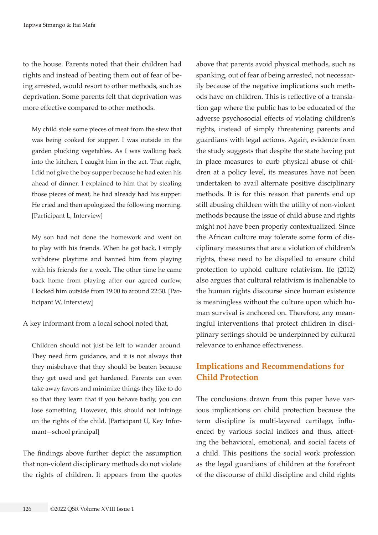to the house. Parents noted that their children had rights and instead of beating them out of fear of being arrested, would resort to other methods, such as deprivation. Some parents felt that deprivation was more effective compared to other methods.

My child stole some pieces of meat from the stew that was being cooked for supper. I was outside in the garden plucking vegetables. As I was walking back into the kitchen, I caught him in the act. That night, I did not give the boy supper because he had eaten his ahead of dinner. I explained to him that by stealing those pieces of meat, he had already had his supper. He cried and then apologized the following morning. [Participant L, Interview]

My son had not done the homework and went on to play with his friends. When he got back, I simply withdrew playtime and banned him from playing with his friends for a week. The other time he came back home from playing after our agreed curfew, I locked him outside from 19:00 to around 22:30. [Participant W, Interview]

A key informant from a local school noted that,

Children should not just be left to wander around. They need firm guidance, and it is not always that they misbehave that they should be beaten because they get used and get hardened. Parents can even take away favors and minimize things they like to do so that they learn that if you behave badly, you can lose something. However, this should not infringe on the rights of the child. [Participant U, Key Informant—school principal]

The findings above further depict the assumption that non-violent disciplinary methods do not violate the rights of children. It appears from the quotes

above that parents avoid physical methods, such as spanking, out of fear of being arrested, not necessarily because of the negative implications such methods have on children. This is reflective of a translation gap where the public has to be educated of the adverse psychosocial effects of violating children's rights, instead of simply threatening parents and guardians with legal actions. Again, evidence from the study suggests that despite the state having put in place measures to curb physical abuse of children at a policy level, its measures have not been undertaken to avail alternate positive disciplinary methods. It is for this reason that parents end up still abusing children with the utility of non-violent methods because the issue of child abuse and rights might not have been properly contextualized. Since the African culture may tolerate some form of disciplinary measures that are a violation of children's rights, these need to be dispelled to ensure child protection to uphold culture relativism. Ife (2012) also argues that cultural relativism is inalienable to the human rights discourse since human existence is meaningless without the culture upon which human survival is anchored on. Therefore, any meaningful interventions that protect children in disciplinary settings should be underpinned by cultural relevance to enhance effectiveness.

# **Implications and Recommendations for Child Protection**

The conclusions drawn from this paper have various implications on child protection because the term discipline is multi-layered cartilage, influenced by various social indices and thus, affecting the behavioral, emotional, and social facets of a child. This positions the social work profession as the legal guardians of children at the forefront of the discourse of child discipline and child rights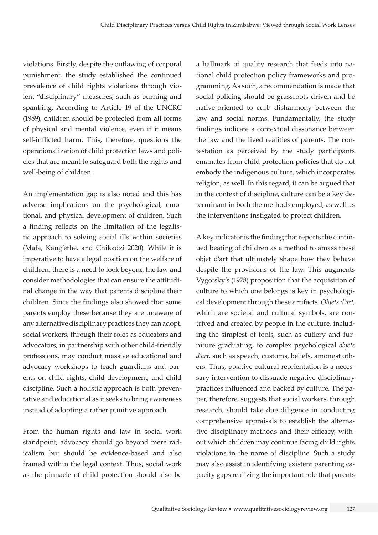violations. Firstly, despite the outlawing of corporal punishment, the study established the continued prevalence of child rights violations through violent "disciplinary" measures, such as burning and spanking. According to Article 19 of the UNCRC (1989), children should be protected from all forms of physical and mental violence, even if it means self-inflicted harm. This, therefore, questions the operationalization of child protection laws and policies that are meant to safeguard both the rights and well-being of children.

An implementation gap is also noted and this has adverse implications on the psychological, emotional, and physical development of children. Such a finding reflects on the limitation of the legalistic approach to solving social ills within societies (Mafa, Kang'ethe, and Chikadzi 2020). While it is imperative to have a legal position on the welfare of children, there is a need to look beyond the law and consider methodologies that can ensure the attitudinal change in the way that parents discipline their children. Since the findings also showed that some parents employ these because they are unaware of any alternative disciplinary practices they can adopt, social workers, through their roles as educators and advocators, in partnership with other child-friendly professions, may conduct massive educational and advocacy workshops to teach guardians and parents on child rights, child development, and child discipline. Such a holistic approach is both preventative and educational as it seeks to bring awareness instead of adopting a rather punitive approach.

From the human rights and law in social work standpoint, advocacy should go beyond mere radicalism but should be evidence-based and also framed within the legal context. Thus, social work as the pinnacle of child protection should also be

a hallmark of quality research that feeds into national child protection policy frameworks and programming. As such, a recommendation is made that social policing should be grassroots-driven and be native-oriented to curb disharmony between the law and social norms. Fundamentally, the study findings indicate a contextual dissonance between the law and the lived realities of parents. The contestation as perceived by the study participants emanates from child protection policies that do not embody the indigenous culture, which incorporates religion, as well. In this regard, it can be argued that in the context of discipline, culture can be a key determinant in both the methods employed, as well as the interventions instigated to protect children.

A key indicator is the finding that reports the continued beating of children as a method to amass these objet d'art that ultimately shape how they behave despite the provisions of the law. This augments Vygotsky's (1978) proposition that the acquisition of culture to which one belongs is key in psychological development through these artifacts. *Objets d'art*, which are societal and cultural symbols, are contrived and created by people in the culture, including the simplest of tools, such as cutlery and furniture graduating, to complex psychological *objets d'art*, such as speech, customs, beliefs, amongst others. Thus, positive cultural reorientation is a necessary intervention to dissuade negative disciplinary practices influenced and backed by culture. The paper, therefore, suggests that social workers, through research, should take due diligence in conducting comprehensive appraisals to establish the alternative disciplinary methods and their efficacy, without which children may continue facing child rights violations in the name of discipline. Such a study may also assist in identifying existent parenting capacity gaps realizing the important role that parents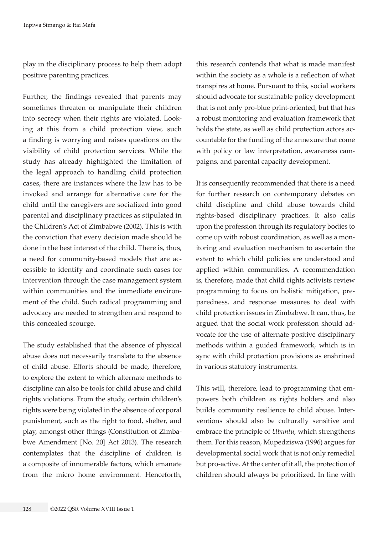play in the disciplinary process to help them adopt positive parenting practices.

Further, the findings revealed that parents may sometimes threaten or manipulate their children into secrecy when their rights are violated. Looking at this from a child protection view, such a finding is worrying and raises questions on the visibility of child protection services. While the study has already highlighted the limitation of the legal approach to handling child protection cases, there are instances where the law has to be invoked and arrange for alternative care for the child until the caregivers are socialized into good parental and disciplinary practices as stipulated in the Children's Act of Zimbabwe (2002). This is with the conviction that every decision made should be done in the best interest of the child. There is, thus, a need for community-based models that are accessible to identify and coordinate such cases for intervention through the case management system within communities and the immediate environment of the child. Such radical programming and advocacy are needed to strengthen and respond to this concealed scourge.

The study established that the absence of physical abuse does not necessarily translate to the absence of child abuse. Efforts should be made, therefore, to explore the extent to which alternate methods to discipline can also be tools for child abuse and child rights violations. From the study, certain children's rights were being violated in the absence of corporal punishment, such as the right to food, shelter, and play, amongst other things (Constitution of Zimbabwe Amendment [No. 20] Act 2013). The research contemplates that the discipline of children is a composite of innumerable factors, which emanate from the micro home environment. Henceforth,

this research contends that what is made manifest within the society as a whole is a reflection of what transpires at home. Pursuant to this, social workers should advocate for sustainable policy development that is not only pro-blue print-oriented, but that has a robust monitoring and evaluation framework that holds the state, as well as child protection actors accountable for the funding of the annexure that come with policy or law interpretation, awareness campaigns, and parental capacity development.

It is consequently recommended that there is a need for further research on contemporary debates on child discipline and child abuse towards child rights-based disciplinary practices. It also calls upon the profession through its regulatory bodies to come up with robust coordination, as well as a monitoring and evaluation mechanism to ascertain the extent to which child policies are understood and applied within communities. A recommendation is, therefore, made that child rights activists review programming to focus on holistic mitigation, preparedness, and response measures to deal with child protection issues in Zimbabwe. It can, thus, be argued that the social work profession should advocate for the use of alternate positive disciplinary methods within a guided framework, which is in sync with child protection provisions as enshrined in various statutory instruments.

This will, therefore, lead to programming that empowers both children as rights holders and also builds community resilience to child abuse. Interventions should also be culturally sensitive and embrace the principle of *Ubuntu*, which strengthens them. For this reason, Mupedziswa (1996) argues for developmental social work that is not only remedial but pro-active. At the center of it all, the protection of children should always be prioritized. In line with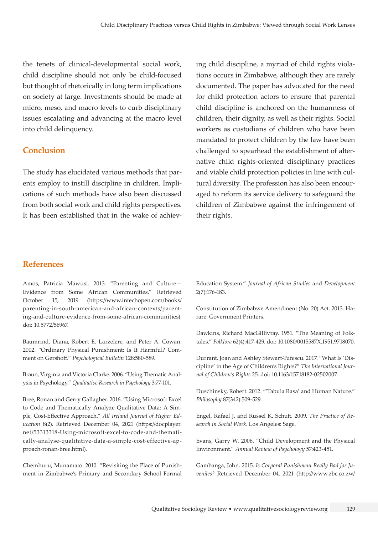the tenets of clinical-developmental social work, child discipline should not only be child-focused but thought of rhetorically in long term implications on society at large. Investments should be made at micro, meso, and macro levels to curb disciplinary issues escalating and advancing at the macro level into child delinquency.

# **Conclusion**

The study has elucidated various methods that parents employ to instill discipline in children. Implications of such methods have also been discussed from both social work and child rights perspectives. It has been established that in the wake of achieving child discipline, a myriad of child rights violations occurs in Zimbabwe, although they are rarely documented. The paper has advocated for the need for child protection actors to ensure that parental child discipline is anchored on the humanness of children, their dignity, as well as their rights. Social workers as custodians of children who have been mandated to protect children by the law have been challenged to spearhead the establishment of alternative child rights-oriented disciplinary practices and viable child protection policies in line with cultural diversity. The profession has also been encouraged to reform its service delivery to safeguard the children of Zimbabwe against the infringement of their rights.

# **References**

Amos, Patricia Mawusi. 2013. "Parenting and Culture— Evidence from Some African Communities." Retrieved October 15, 2019 ([https://www.intechopen.com/books/](https://www.intechopen.com/books/parenting-in-south-american-and-african-contexts/parenting-and-culture-evidence-from-some-african-communities) [parenting-in-south-american-and-african-contexts/parent](https://www.intechopen.com/books/parenting-in-south-american-and-african-contexts/parenting-and-culture-evidence-from-some-african-communities)[ing-and-culture-evidence-from-some-african-communities](https://www.intechopen.com/books/parenting-in-south-american-and-african-contexts/parenting-and-culture-evidence-from-some-african-communities)). doi: 10.5772/56967.

Baumrind, Diana, Robert E. Larzelere, and Peter A. Cowan. 2002. "Ordinary Physical Punishment: Is It Harmful? Comment on Gershoff." *Psychological Bulletin* 128:580-589.

Braun, Virginia and Victoria Clarke. 2006. "Using Thematic Analysis in Psychology." *Qualitative Research in Psychology* 3:77-101.

Bree, Ronan and Gerry Gallagher. 2016. "Using Microsoft Excel to Code and Thematically Analyze Qualitative Data: A Simple, Cost-Effective Approach." *All Ireland Journal of Higher Education* 8(2). Retrieved December 04, 2021 ([https://docplayer.](https://docplayer.net/53313318-Using-microsoft-excel-to-code-and-thematically-analyse-qualitative-data-a-simple-cost-effective-approach-ronan-bree.html) [net/53313318-Using-microsoft-excel-to-code-and-themati](https://docplayer.net/53313318-Using-microsoft-excel-to-code-and-thematically-analyse-qualitative-data-a-simple-cost-effective-approach-ronan-bree.html)[cally-analyse-qualitative-data-a-simple-cost-effective-ap](https://docplayer.net/53313318-Using-microsoft-excel-to-code-and-thematically-analyse-qualitative-data-a-simple-cost-effective-approach-ronan-bree.html)[proach-ronan-bree.html](https://docplayer.net/53313318-Using-microsoft-excel-to-code-and-thematically-analyse-qualitative-data-a-simple-cost-effective-approach-ronan-bree.html)).

Chemhuru, Munamato. 2010. "Revisiting the Place of Punishment in Zimbabwe's Primary and Secondary School Formal

Education System." *Journal of African Studies* and *Development* 2(7):176-183.

Constitution of Zimbabwe Amendment (No. 20) Act. 2013. Harare: Government Printers.

Dawkins, Richard MacGillivray. 1951. "The Meaning of Folktales." *Folklore* 62(4):417-429. doi: 10.1080/0015587X.1951.9718070.

Durrant, Joan and Ashley Stewart-Tufescu. 2017. "What Is 'Discipline' in the Age of Children's Rights?" *The International Journal of Children's Rights* 25. doi: 10.1163/15718182-02502007.

Duschinsky, Robert. 2012. "'Tabula Rasa' and Human Nature." *Philosophy* 87(342):509-529.

Engel, Rafael J. and Russel K. Schutt. 2009. *The Practice of Research in Social Work*. Los Angeles: Sage.

Evans, Garry W. 2006. "Child Development and the Physical Environment." *Annual Review of Psychology* 57:423-451.

Gambanga, John. 2015. *Is Corporal Punishment Really Bad for Juveniles?* Retrieved December 04, 2021 ([http://www.zbc.co.zw/](http://www.zbc.co.zw/news-categories/opinion/51619-is-corporal-punishment-reallybad-for-juveniles)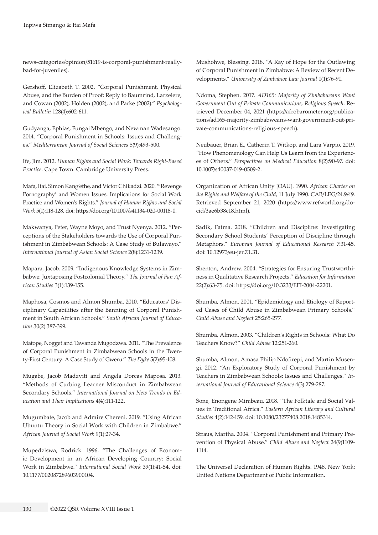[news-categories/opinion/51619-is-corporal-punishment-really](http://www.zbc.co.zw/news-categories/opinion/51619-is-corporal-punishment-reallybad-for-juveniles)[bad-for-juveniles\)](http://www.zbc.co.zw/news-categories/opinion/51619-is-corporal-punishment-reallybad-for-juveniles).

Gershoff, Elizabeth T. 2002. "Corporal Punishment, Physical Abuse, and the Burden of Proof: Reply to Baumrind*,* Larzelere, and Cowan (2002), Holden (2002), and Parke (2002)." *Psychological Bulletin* 128(4):602-611.

Gudyanga, Ephias, Fungai Mbengo, and Newman Wadesango. 2014. "Corporal Punishment in Schools: Issues and Challenges." *Mediterranean Journal of Social Sciences* 5(9):493-500.

Ife, Jim. 2012. *Human Rights and Social Work: Towards Right-Based Practice*. Cape Town: Cambridge University Press.

Mafa, Itai, Simon Kang'ethe, and Victor Chikadzi. 2020. "'Revenge Pornography' and Women Issues: Implications for Social Work Practice and Women's Rights." *Journal of Human Rights and Social Work* 5(1):118-128. doi: https://doi.org/10.1007/s41134-020-00118-0.

Makwanya, Peter, Wayne Moyo, and Trust Nyenya. 2012. "Perceptions of the Stakeholders towards the Use of Corporal Punishment in Zimbabwean Schools: A Case Study of Bulawayo." *International Journal of Asian Social Science* 2(8):1231-1239.

Mapara, Jacob. 2009. "Indigenous Knowledge Systems in Zimbabwe: Juxtaposing Postcolonial Theory." *The Journal of Pan African Studies* 3(1):139-155.

Maphosa, Cosmos and Almon Shumba. 2010. "Educators' Disciplinary Capabilities after the Banning of Corporal Punishment in South African Schools." *South African Journal of Education* 30(2):387-399.

Matope, Nogget and Tawanda Mugodzwa. 2011. "The Prevalence of Corporal Punishment in Zimbabwean Schools in the Twenty-First Century: A Case Study of Gweru." *The Dyke* 5(2):95-108.

Mugabe, Jacob Madzviti and Angela Dorcas Maposa. 2013. "Methods of Curbing Learner Misconduct in Zimbabwean Secondary Schools." *International Journal on New Trends in Education and Their Implications* 4(4):111-122.

Mugumbate, Jacob and Admire Chereni. 2019. "Using African Ubuntu Theory in Social Work with Children in Zimbabwe." *African Journal of Social Work* 9(1):27-34.

Mupedziswa, Rodrick. 1996. "The Challenges of Economic Development in an African Developing Country: Social Work in Zimbabwe." *International Social Work* 39(1):41-54. doi: [10.1177/002087289603900104](https://doi.org/10.1177/002087289603900104).

Mushohwe, Blessing. 2018. "A Ray of Hope for the Outlawing of Corporal Punishment in Zimbabwe: A Review of Recent Developments." *University of Zimbabwe Law Journal* 1(1):76-91.

Ndoma, Stephen. 2017. *AD165: Majority of Zimbabweans Want Government Out of Private Communications, Religious Speech*. Retrieved December 04, 2021 ([https://afrobarometer.org/publica](https://afrobarometer.org/publications/ad165-majority-zimbabweans-want-government-out-private-communications-religious-speech)[tions/ad165-majority-zimbabweans-want-government-out-pri](https://afrobarometer.org/publications/ad165-majority-zimbabweans-want-government-out-private-communications-religious-speech)[vate-communications-religious-speech](https://afrobarometer.org/publications/ad165-majority-zimbabweans-want-government-out-private-communications-religious-speech)).

Neubauer, Brian E., Catherin T. Witkop, and Lara Varpio. 2019. "How Phenomenology Can Help Us Learn from the Experiences of Others." *Perspectives on Medical Education* 8(2):90-97. doi: 10.1007/s40037-019-0509-2.

Organization of African Unity [OAU]. 1990. *African Charter on the Rights and Welfare of the Child*, 11 July 1990. CAB/LEG/24.9/49. Retrieved September 21, 2020 ([https://www.refworld.org/do](https://www.refworld.org/docid/3ae6b38c18.html)[cid/3ae6b38c18.html](https://www.refworld.org/docid/3ae6b38c18.html)).

Sadik, Fatma. 2018. "Children and Discipline: Investigating Secondary School Students' Perception of Discipline through Metaphors." *European Journal of Educational Research* 7:31-45. doi: 10.12973/eu-jer.7.1.31.

Shenton, Andrew. 2004. "Strategies for Ensuring Trustworthiness in Qualitative Research Projects." *Education for Information*  22(2):63-75. doi: https://doi.org/10.3233/EFI-2004-22201*.*

Shumba, Almon. 2001. "Epidemiology and Etiology of Reported Cases of Child Abuse in Zimbabwean Primary Schools." *Child Abuse and Neglect* 25:265-277.

Shumba, Almon. 2003. "Children's Rights in Schools: What Do Teachers Know?" *Child Abuse* 12:251-260.

Shumba, Almon, Amasa Philip Ndofirepi, and Martin Musengi. 2012. "An Exploratory Study of Corporal Punishment by Teachers in Zimbabwean Schools: Issues and Challenges." *International Journal of Educational Science* 4(3):279-287.

Sone, Enongene Mirabeau. 2018. "The Folktale and Social Values in Traditional Africa." *Eastern African Literary and Cultural Studies* 4(2):142-159. doi: 10.1080/23277408.2018.1485314.

Straus, Martha. 2004. "Corporal Punishment and Primary Prevention of Physical Abuse." *Child Abuse and Neglect* 24(9)1109- 1114.

The Universal Declaration of Human Rights. 1948. New York: United Nations Department of Public Information.